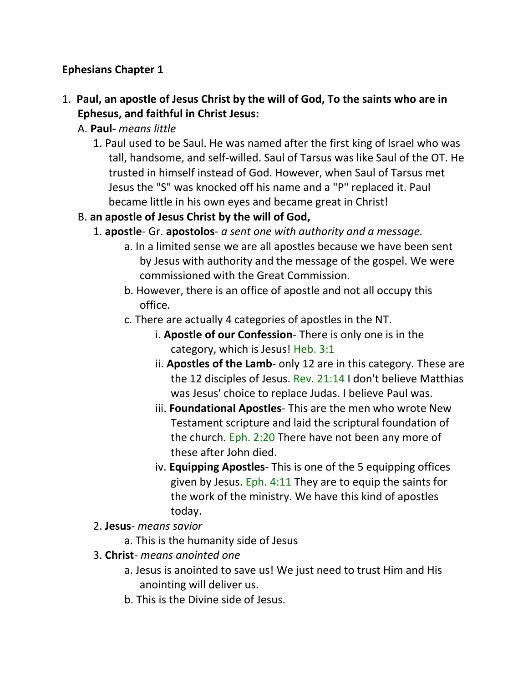### **Ephesians Chapter 1**

- 1. **Paul, an apostle of Jesus Christ by the will of God, To the saints who are in Ephesus, and faithful in Christ Jesus:**
	- A. **Paul-** *means little*
		- 1. Paul used to be Saul. He was named after the first king of Israel who was tall, handsome, and self-willed. Saul of Tarsus was like Saul of the OT. He trusted in himself instead of God. However, when Saul of Tarsus met Jesus the "S" was knocked off his name and a "P" replaced it. Paul became little in his own eyes and became great in Christ!
	- B. **an apostle of Jesus Christ by the will of God,**
		- 1. **apostle** Gr. **apostolos** *a sent one with authority and a message.*
			- a. In a limited sense we are all apostles because we have been sent by Jesus with authority and the message of the gospel. We were commissioned with the Great Commission.
			- b. However, there is an office of apostle and not all occupy this office.
			- c. There are actually 4 categories of apostles in the NT.
				- i. **Apostle of our Confession** There is only one is in the category, which is Jesus! Heb. 3:1
				- ii. **Apostles of the Lamb** only 12 are in this category. These are the 12 disciples of Jesus. Rev. 21:14 I don't believe Matthias was Jesus' choice to replace Judas. I believe Paul was.
				- iii. **Foundational Apostles** This are the men who wrote New Testament scripture and laid the scriptural foundation of the church. Eph. 2:20 There have not been any more of these after John died.
				- iv. **Equipping Apostles** This is one of the 5 equipping offices given by Jesus. Eph. 4:11 They are to equip the saints for the work of the ministry. We have this kind of apostles today.
		- 2. **Jesus** *means savior*
			- a. This is the humanity side of Jesus
		- 3. **Christ** *means anointed one*
			- a. Jesus is anointed to save us! We just need to trust Him and His anointing will deliver us.
			- b. This is the Divine side of Jesus.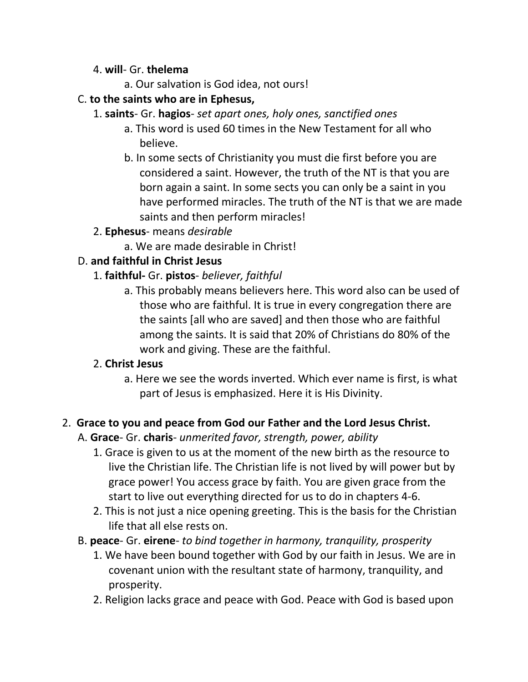#### 4. **will**- Gr. **thelema**

a. Our salvation is God idea, not ours!

### C. **to the saints who are in Ephesus,**

- 1. **saints** Gr. **hagios** *set apart ones, holy ones, sanctified ones*
	- a. This word is used 60 times in the New Testament for all who believe.
	- b. In some sects of Christianity you must die first before you are considered a saint. However, the truth of the NT is that you are born again a saint. In some sects you can only be a saint in you have performed miracles. The truth of the NT is that we are made saints and then perform miracles!

### 2. **Ephesus**- means *desirable*

a. We are made desirable in Christ!

### D. **and faithful in Christ Jesus**

- 1. **faithful-** Gr. **pistos** *believer, faithful*
	- a. This probably means believers here. This word also can be used of those who are faithful. It is true in every congregation there are the saints [all who are saved] and then those who are faithful among the saints. It is said that 20% of Christians do 80% of the work and giving. These are the faithful.

### 2. **Christ Jesus**

a. Here we see the words inverted. Which ever name is first, is what part of Jesus is emphasized. Here it is His Divinity.

### 2. **Grace to you and peace from God our Father and the Lord Jesus Christ.**

- A. **Grace** Gr. **charis** *unmerited favor, strength, power, ability*
	- 1. Grace is given to us at the moment of the new birth as the resource to live the Christian life. The Christian life is not lived by will power but by grace power! You access grace by faith. You are given grace from the start to live out everything directed for us to do in chapters 4-6.
	- 2. This is not just a nice opening greeting. This is the basis for the Christian life that all else rests on.
- B. **peace** Gr. **eirene** *to bind together in harmony, tranquility, prosperity*
	- 1. We have been bound together with God by our faith in Jesus. We are in covenant union with the resultant state of harmony, tranquility, and prosperity.
	- 2. Religion lacks grace and peace with God. Peace with God is based upon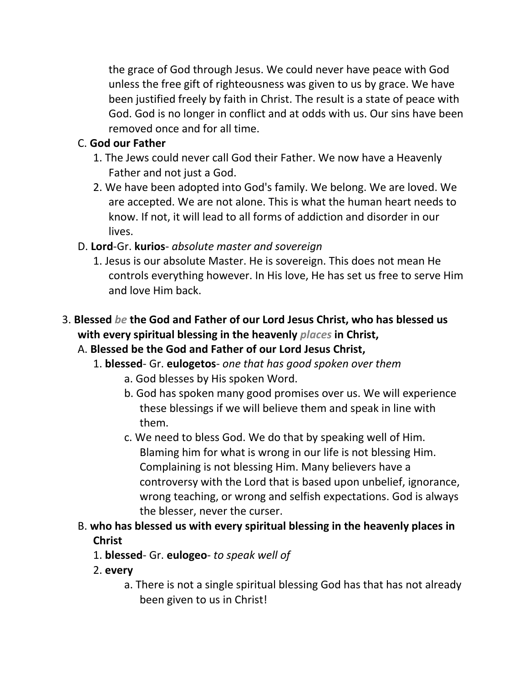the grace of God through Jesus. We could never have peace with God unless the free gift of righteousness was given to us by grace. We have been justified freely by faith in Christ. The result is a state of peace with God. God is no longer in conflict and at odds with us. Our sins have been removed once and for all time.

### C. **God our Father**

- 1. The Jews could never call God their Father. We now have a Heavenly Father and not just a God.
- 2. We have been adopted into God's family. We belong. We are loved. We are accepted. We are not alone. This is what the human heart needs to know. If not, it will lead to all forms of addiction and disorder in our lives.
- D. **Lord**-Gr. **kurios** *absolute master and sovereign*
	- 1. Jesus is our absolute Master. He is sovereign. This does not mean He controls everything however. In His love, He has set us free to serve Him and love Him back.
- 3. **Blessed** *be* **the God and Father of our Lord Jesus Christ, who has blessed us with every spiritual blessing in the heavenly** *places* **in Christ,**

### A. **Blessed be the God and Father of our Lord Jesus Christ,**

- 1. **blessed** Gr. **eulogetos** *one that has good spoken over them*
	- a. God blesses by His spoken Word.
	- b. God has spoken many good promises over us. We will experience these blessings if we will believe them and speak in line with them.
	- c. We need to bless God. We do that by speaking well of Him. Blaming him for what is wrong in our life is not blessing Him. Complaining is not blessing Him. Many believers have a controversy with the Lord that is based upon unbelief, ignorance, wrong teaching, or wrong and selfish expectations. God is always the blesser, never the curser.
- B. **who has blessed us with every spiritual blessing in the heavenly places in Christ**
	- 1. **blessed** Gr. **eulogeo** *to speak well of*
	- 2. **every**
		- a. There is not a single spiritual blessing God has that has not already been given to us in Christ!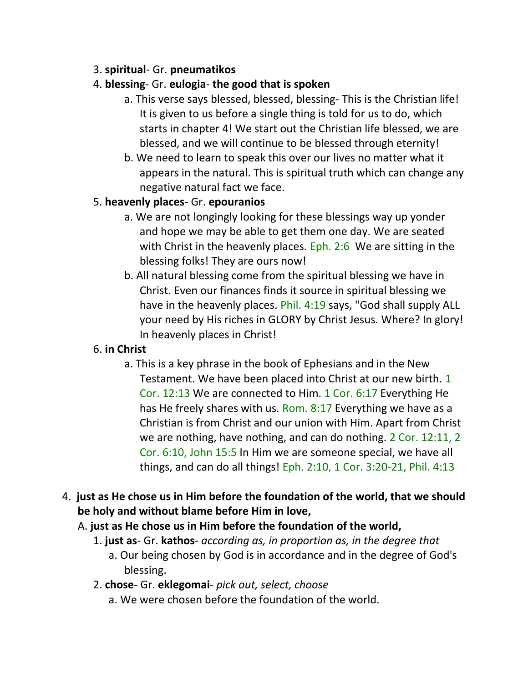### 3. **spiritual**- Gr. **pneumatikos**

### 4. **blessing**- Gr. **eulogia**- **the good that is spoken**

- a. This verse says blessed, blessed, blessing- This is the Christian life! It is given to us before a single thing is told for us to do, which starts in chapter 4! We start out the Christian life blessed, we are blessed, and we will continue to be blessed through eternity!
- b. We need to learn to speak this over our lives no matter what it appears in the natural. This is spiritual truth which can change any negative natural fact we face.

### 5. **heavenly places**- Gr. **epouranios**

- a. We are not longingly looking for these blessings way up yonder and hope we may be able to get them one day. We are seated with Christ in the heavenly places. Eph. 2:6 We are sitting in the blessing folks! They are ours now!
- b. All natural blessing come from the spiritual blessing we have in Christ. Even our finances finds it source in spiritual blessing we have in the heavenly places. Phil. 4:19 says, "God shall supply ALL your need by His riches in GLORY by Christ Jesus. Where? In glory! In heavenly places in Christ!

### 6. **in Christ**

a. This is a key phrase in the book of Ephesians and in the New Testament. We have been placed into Christ at our new birth. 1 Cor. 12:13 We are connected to Him. 1 Cor. 6:17 Everything He has He freely shares with us. Rom. 8:17 Everything we have as a Christian is from Christ and our union with Him. Apart from Christ we are nothing, have nothing, and can do nothing. 2 Cor. 12:11, 2 Cor. 6:10, John 15:5 In Him we are someone special, we have all things, and can do all things! Eph. 2:10, 1 Cor. 3:20-21, Phil. 4:13

### 4. **just as He chose us in Him before the foundation of the world, that we should be holy and without blame before Him in love,**

- A. **just as He chose us in Him before the foundation of the world,**
	- 1. **just as** Gr. **kathos** *according as, in proportion as, in the degree that*
		- a. Our being chosen by God is in accordance and in the degree of God's blessing.
	- 2. **chose** Gr. **eklegomai** *pick out, select, choose*
		- a. We were chosen before the foundation of the world.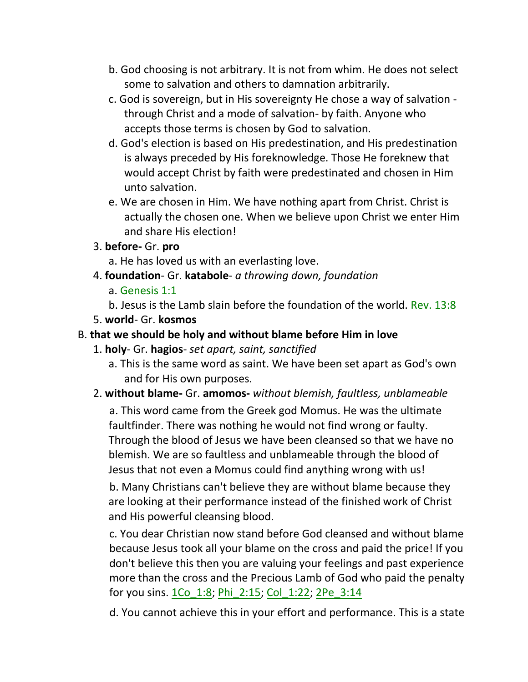- b. God choosing is not arbitrary. It is not from whim. He does not select some to salvation and others to damnation arbitrarily.
- c. God is sovereign, but in His sovereignty He chose a way of salvation through Christ and a mode of salvation- by faith. Anyone who accepts those terms is chosen by God to salvation.
- d. God's election is based on His predestination, and His predestination is always preceded by His foreknowledge. Those He foreknew that would accept Christ by faith were predestinated and chosen in Him unto salvation.
- e. We are chosen in Him. We have nothing apart from Christ. Christ is actually the chosen one. When we believe upon Christ we enter Him and share His election!
- 3. **before-** Gr. **pro**
	- a. He has loved us with an everlasting love.
- 4. **foundation** Gr. **katabole** *a throwing down, foundation*
	- a. Genesis 1:1
	- b. Jesus is the Lamb slain before the foundation of the world. Rev. 13:8
- 5. **world** Gr. **kosmos**

#### B. **that we should be holy and without blame before Him in love**

- 1. **holy** Gr. **hagios** *set apart, saint, sanctified*
	- a. This is the same word as saint. We have been set apart as God's own and for His own purposes.
- 2. **without blame-** Gr. **amomos-** *without blemish, faultless, unblameable*

 a. This word came from the Greek god Momus. He was the ultimate faultfinder. There was nothing he would not find wrong or faulty. Through the blood of Jesus we have been cleansed so that we have no blemish. We are so faultless and unblameable through the blood of Jesus that not even a Momus could find anything wrong with us!

 b. Many Christians can't believe they are without blame because they are looking at their performance instead of the finished work of Christ and His powerful cleansing blood.

c. You dear Christian now stand before God cleansed and without blame because Jesus took all your blame on the cross and paid the price! If you don't believe this then you are valuing your feelings and past experience more than the cross and the Precious Lamb of God who paid the penalty for you sins. 1Co\_1:8; Phi\_2:15; Col\_1:22; 2Pe\_3:14

d. You cannot achieve this in your effort and performance. This is a state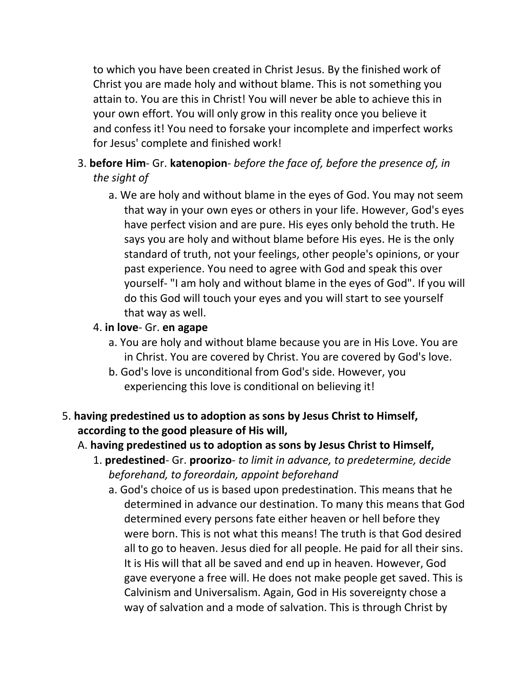to which you have been created in Christ Jesus. By the finished work of Christ you are made holy and without blame. This is not something you attain to. You are this in Christ! You will never be able to achieve this in your own effort. You will only grow in this reality once you believe it and confess it! You need to forsake your incomplete and imperfect works for Jesus' complete and finished work!

### 3. **before Him**- Gr. **katenopion**- *before the face of, before the presence of, in the sight of*

a. We are holy and without blame in the eyes of God. You may not seem that way in your own eyes or others in your life. However, God's eyes have perfect vision and are pure. His eyes only behold the truth. He says you are holy and without blame before His eyes. He is the only standard of truth, not your feelings, other people's opinions, or your past experience. You need to agree with God and speak this over yourself- "I am holy and without blame in the eyes of God". If you will do this God will touch your eyes and you will start to see yourself that way as well.

#### 4. **in love**- Gr. **en agape**

- a. You are holy and without blame because you are in His Love. You are in Christ. You are covered by Christ. You are covered by God's love.
- b. God's love is unconditional from God's side. However, you experiencing this love is conditional on believing it!

### 5. **having predestined us to adoption as sons by Jesus Christ to Himself, according to the good pleasure of His will,**

#### A. **having predestined us to adoption as sons by Jesus Christ to Himself,**

- 1. **predestined** Gr. **proorizo** *to limit in advance, to predetermine, decide beforehand, to foreordain, appoint beforehand*
	- a. God's choice of us is based upon predestination. This means that he determined in advance our destination. To many this means that God determined every persons fate either heaven or hell before they were born. This is not what this means! The truth is that God desired all to go to heaven. Jesus died for all people. He paid for all their sins. It is His will that all be saved and end up in heaven. However, God gave everyone a free will. He does not make people get saved. This is Calvinism and Universalism. Again, God in His sovereignty chose a way of salvation and a mode of salvation. This is through Christ by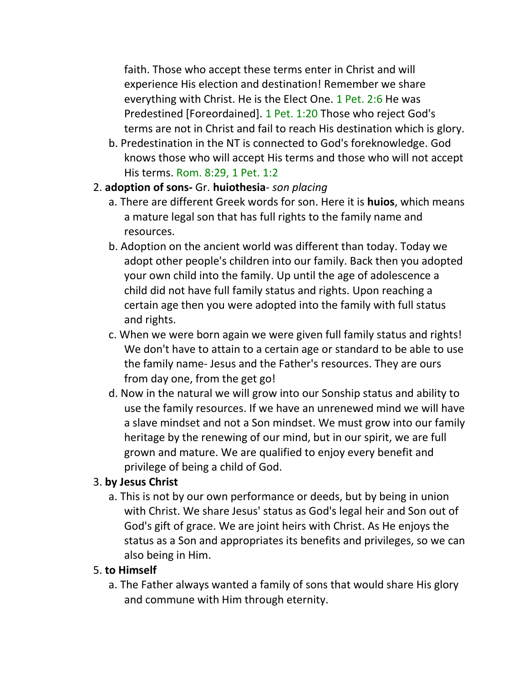faith. Those who accept these terms enter in Christ and will experience His election and destination! Remember we share everything with Christ. He is the Elect One. 1 Pet. 2:6 He was Predestined [Foreordained]. 1 Pet. 1:20 Those who reject God's terms are not in Christ and fail to reach His destination which is glory.

- b. Predestination in the NT is connected to God's foreknowledge. God knows those who will accept His terms and those who will not accept His terms. Rom. 8:29, 1 Pet. 1:2
- 2. **adoption of sons-** Gr. **huiothesia** *son placing*
	- a. There are different Greek words for son. Here it is **huios**, which means a mature legal son that has full rights to the family name and resources.
	- b. Adoption on the ancient world was different than today. Today we adopt other people's children into our family. Back then you adopted your own child into the family. Up until the age of adolescence a child did not have full family status and rights. Upon reaching a certain age then you were adopted into the family with full status and rights.
	- c. When we were born again we were given full family status and rights! We don't have to attain to a certain age or standard to be able to use the family name- Jesus and the Father's resources. They are ours from day one, from the get go!
	- d. Now in the natural we will grow into our Sonship status and ability to use the family resources. If we have an unrenewed mind we will have a slave mindset and not a Son mindset. We must grow into our family heritage by the renewing of our mind, but in our spirit, we are full grown and mature. We are qualified to enjoy every benefit and privilege of being a child of God.

### 3. **by Jesus Christ**

a. This is not by our own performance or deeds, but by being in union with Christ. We share Jesus' status as God's legal heir and Son out of God's gift of grace. We are joint heirs with Christ. As He enjoys the status as a Son and appropriates its benefits and privileges, so we can also being in Him.

### 5. **to Himself**

a. The Father always wanted a family of sons that would share His glory and commune with Him through eternity.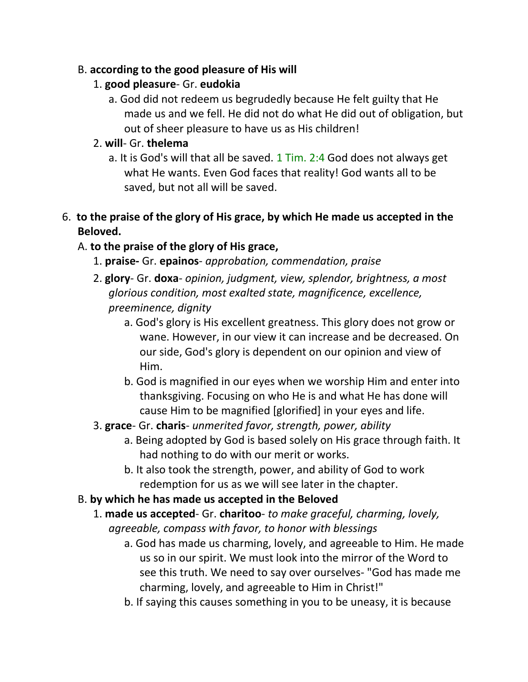#### B. **according to the good pleasure of His will**

#### 1. **good pleasure**- Gr. **eudokia**

a. God did not redeem us begrudedly because He felt guilty that He made us and we fell. He did not do what He did out of obligation, but out of sheer pleasure to have us as His children!

### 2. **will**- Gr. **thelema**

a. It is God's will that all be saved.  $1$  Tim. 2:4 God does not always get what He wants. Even God faces that reality! God wants all to be saved, but not all will be saved.

### 6. **to the praise of the glory of His grace, by which He made us accepted in the Beloved.**

### A. **to the praise of the glory of His grace,**

- 1. **praise-** Gr. **epainos** *approbation, commendation, praise*
- 2. **glory** Gr. **doxa** *opinion, judgment, view, splendor, brightness, a most glorious condition, most exalted state, magnificence, excellence, preeminence, dignity*
	- a. God's glory is His excellent greatness. This glory does not grow or wane. However, in our view it can increase and be decreased. On our side, God's glory is dependent on our opinion and view of Him.
	- b. God is magnified in our eyes when we worship Him and enter into thanksgiving. Focusing on who He is and what He has done will cause Him to be magnified [glorified] in your eyes and life.
- 3. **grace** Gr. **charis** *unmerited favor, strength, power, ability*
	- a. Being adopted by God is based solely on His grace through faith. It had nothing to do with our merit or works.
	- b. It also took the strength, power, and ability of God to work redemption for us as we will see later in the chapter.

### B. **by which he has made us accepted in the Beloved**

- 1. **made us accepted** Gr. **charitoo** *to make graceful, charming, lovely, agreeable, compass with favor, to honor with blessings*
	- a. God has made us charming, lovely, and agreeable to Him. He made us so in our spirit. We must look into the mirror of the Word to see this truth. We need to say over ourselves- "God has made me charming, lovely, and agreeable to Him in Christ!"
	- b. If saying this causes something in you to be uneasy, it is because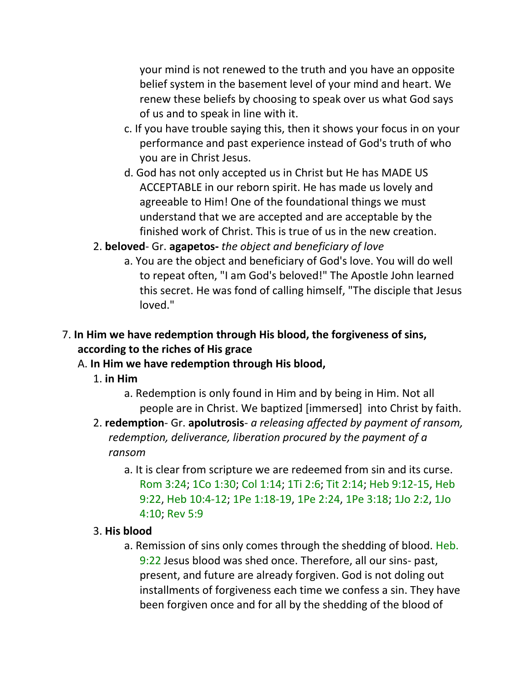your mind is not renewed to the truth and you have an opposite belief system in the basement level of your mind and heart. We renew these beliefs by choosing to speak over us what God says of us and to speak in line with it.

- c. If you have trouble saying this, then it shows your focus in on your performance and past experience instead of God's truth of who you are in Christ Jesus.
- d. God has not only accepted us in Christ but He has MADE US ACCEPTABLE in our reborn spirit. He has made us lovely and agreeable to Him! One of the foundational things we must understand that we are accepted and are acceptable by the finished work of Christ. This is true of us in the new creation.
- 2. **beloved** Gr. **agapetos-** *the object and beneficiary of love*
	- a. You are the object and beneficiary of God's love. You will do well to repeat often, "I am God's beloved!" The Apostle John learned this secret. He was fond of calling himself, "The disciple that Jesus loved."

### 7. **In Him we have redemption through His blood, the forgiveness of sins, according to the riches of His grace**

### A. **In Him we have redemption through His blood,**

- 1. **in Him**
	- a. Redemption is only found in Him and by being in Him. Not all people are in Christ. We baptized [immersed] into Christ by faith.
- 2. **redemption** Gr. **apolutrosis** *a releasing affected by payment of ransom, redemption, deliverance, liberation procured by the payment of a ransom*
	- a. It is clear from scripture we are redeemed from sin and its curse. Rom 3:24; 1Co 1:30; Col 1:14; 1Ti 2:6; Tit 2:14; Heb 9:12-15, Heb 9:22, Heb 10:4-12; 1Pe 1:18-19, 1Pe 2:24, 1Pe 3:18; 1Jo 2:2, 1Jo 4:10; Rev 5:9

#### 3. **His blood**

a. Remission of sins only comes through the shedding of blood. Heb. 9:22 Jesus blood was shed once. Therefore, all our sins- past, present, and future are already forgiven. God is not doling out installments of forgiveness each time we confess a sin. They have been forgiven once and for all by the shedding of the blood of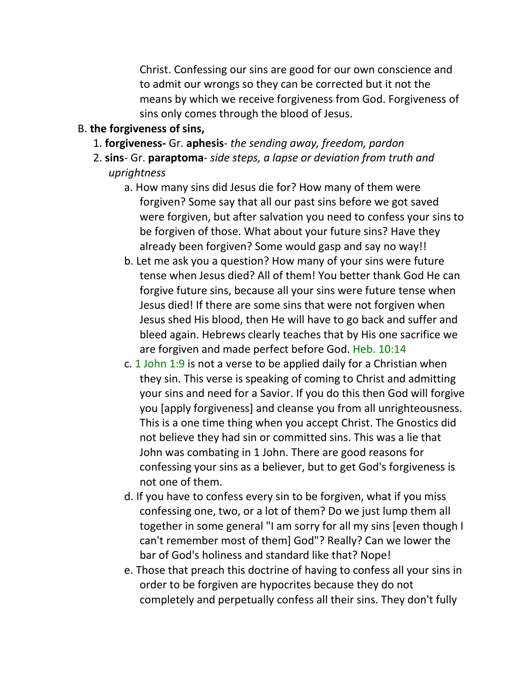Christ. Confessing our sins are good for our own conscience and to admit our wrongs so they can be corrected but it not the means by which we receive forgiveness from God. Forgiveness of sins only comes through the blood of Jesus.

#### B. **the forgiveness of sins,**

- 1. **forgiveness-** Gr. **aphesis** *the sending away, freedom, pardon*
- 2. **sins** Gr. **paraptoma** *side steps, a lapse or deviation from truth and uprightness*
	- a. How many sins did Jesus die for? How many of them were forgiven? Some say that all our past sins before we got saved were forgiven, but after salvation you need to confess your sins to be forgiven of those. What about your future sins? Have they already been forgiven? Some would gasp and say no way!!
	- b. Let me ask you a question? How many of your sins were future tense when Jesus died? All of them! You better thank God He can forgive future sins, because all your sins were future tense when Jesus died! If there are some sins that were not forgiven when Jesus shed His blood, then He will have to go back and suffer and bleed again. Hebrews clearly teaches that by His one sacrifice we are forgiven and made perfect before God. Heb. 10:14
	- c. 1 John 1:9 is not a verse to be applied daily for a Christian when they sin. This verse is speaking of coming to Christ and admitting your sins and need for a Savior. If you do this then God will forgive you [apply forgiveness] and cleanse you from all unrighteousness. This is a one time thing when you accept Christ. The Gnostics did not believe they had sin or committed sins. This was a lie that John was combating in 1 John. There are good reasons for confessing your sins as a believer, but to get God's forgiveness is not one of them.
	- d. If you have to confess every sin to be forgiven, what if you miss confessing one, two, or a lot of them? Do we just lump them all together in some general "I am sorry for all my sins [even though I can't remember most of them] God"? Really? Can we lower the bar of God's holiness and standard like that? Nope!
	- e. Those that preach this doctrine of having to confess all your sins in order to be forgiven are hypocrites because they do not completely and perpetually confess all their sins. They don't fully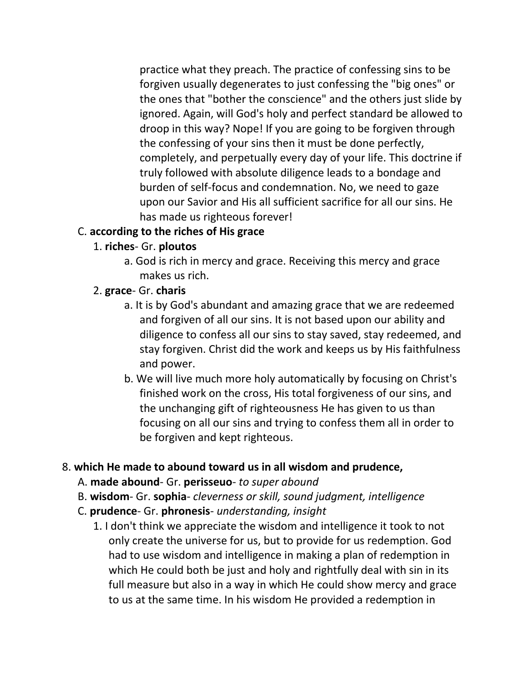practice what they preach. The practice of confessing sins to be forgiven usually degenerates to just confessing the "big ones" or the ones that "bother the conscience" and the others just slide by ignored. Again, will God's holy and perfect standard be allowed to droop in this way? Nope! If you are going to be forgiven through the confessing of your sins then it must be done perfectly, completely, and perpetually every day of your life. This doctrine if truly followed with absolute diligence leads to a bondage and burden of self-focus and condemnation. No, we need to gaze upon our Savior and His all sufficient sacrifice for all our sins. He has made us righteous forever!

#### C. **according to the riches of His grace**

- 1. **riches** Gr. **ploutos**
	- a. God is rich in mercy and grace. Receiving this mercy and grace makes us rich.
- 2. **grace** Gr. **charis**
	- a. It is by God's abundant and amazing grace that we are redeemed and forgiven of all our sins. It is not based upon our ability and diligence to confess all our sins to stay saved, stay redeemed, and stay forgiven. Christ did the work and keeps us by His faithfulness and power.
	- b. We will live much more holy automatically by focusing on Christ's finished work on the cross, His total forgiveness of our sins, and the unchanging gift of righteousness He has given to us than focusing on all our sins and trying to confess them all in order to be forgiven and kept righteous.

#### 8. **which He made to abound toward us in all wisdom and prudence,**

#### A. **made abound**- Gr. **perisseuo**- *to super abound*

- B. **wisdom** Gr. **sophia** *cleverness or skill, sound judgment, intelligence*
- C. **prudence** Gr. **phronesis** *understanding, insight*
	- 1. I don't think we appreciate the wisdom and intelligence it took to not only create the universe for us, but to provide for us redemption. God had to use wisdom and intelligence in making a plan of redemption in which He could both be just and holy and rightfully deal with sin in its full measure but also in a way in which He could show mercy and grace to us at the same time. In his wisdom He provided a redemption in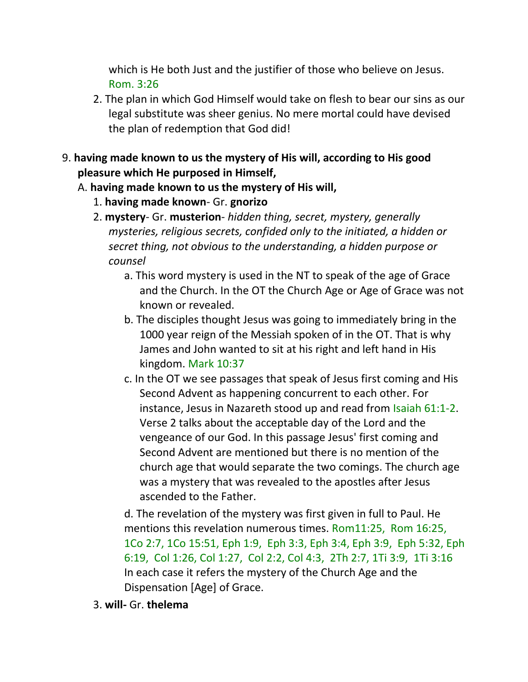which is He both Just and the justifier of those who believe on Jesus. Rom. 3:26

- 2. The plan in which God Himself would take on flesh to bear our sins as our legal substitute was sheer genius. No mere mortal could have devised the plan of redemption that God did!
- 9. **having made known to us the mystery of His will, according to His good pleasure which He purposed in Himself,**
	- A. **having made known to us the mystery of His will,**
		- 1. **having made known** Gr. **gnorizo**
		- 2. **mystery** Gr. **musterion** *hidden thing, secret, mystery, generally mysteries, religious secrets, confided only to the initiated, a hidden or secret thing, not obvious to the understanding, a hidden purpose or counsel*
			- a. This word mystery is used in the NT to speak of the age of Grace and the Church. In the OT the Church Age or Age of Grace was not known or revealed.
			- b. The disciples thought Jesus was going to immediately bring in the 1000 year reign of the Messiah spoken of in the OT. That is why James and John wanted to sit at his right and left hand in His kingdom. Mark 10:37
			- c. In the OT we see passages that speak of Jesus first coming and His Second Advent as happening concurrent to each other. For instance, Jesus in Nazareth stood up and read from Isaiah 61:1-2. Verse 2 talks about the acceptable day of the Lord and the vengeance of our God. In this passage Jesus' first coming and Second Advent are mentioned but there is no mention of the church age that would separate the two comings. The church age was a mystery that was revealed to the apostles after Jesus ascended to the Father.

d. The revelation of the mystery was first given in full to Paul. He mentions this revelation numerous times. Rom11:25, Rom 16:25, 1Co 2:7, 1Co 15:51, Eph 1:9, Eph 3:3, Eph 3:4, Eph 3:9, Eph 5:32, Eph 6:19, Col 1:26, Col 1:27, Col 2:2, Col 4:3, 2Th 2:7, 1Ti 3:9, 1Ti 3:16 In each case it refers the mystery of the Church Age and the Dispensation [Age] of Grace.

3. **will-** Gr. **thelema**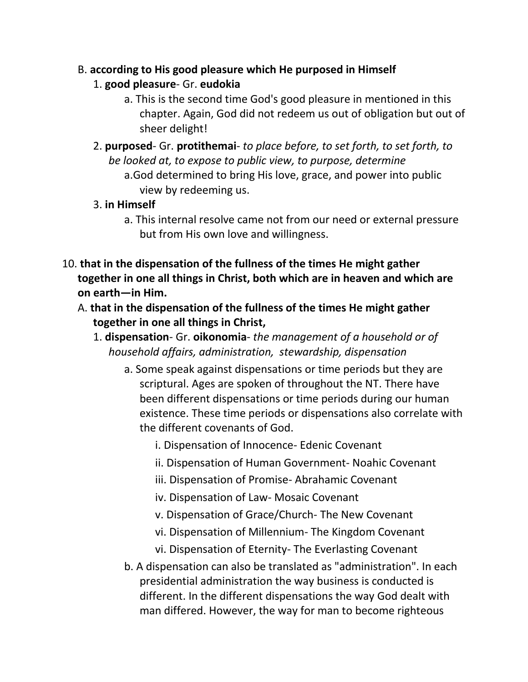#### B. **according to His good pleasure which He purposed in Himself**

- 1. **good pleasure** Gr. **eudokia**
	- a. This is the second time God's good pleasure in mentioned in this chapter. Again, God did not redeem us out of obligation but out of sheer delight!
- 2. **purposed** Gr. **protithemai** *to place before, to set forth, to set forth, to be looked at, to expose to public view, to purpose, determine* a.God determined to bring His love, grace, and power into public view by redeeming us.
- 3. **in Himself**
	- a. This internal resolve came not from our need or external pressure but from His own love and willingness.
- 10. **that in the dispensation of the fullness of the times He might gather together in one all things in Christ, both which are in heaven and which are on earth—in Him.** 
	- A. **that in the dispensation of the fullness of the times He might gather together in one all things in Christ,**
		- 1. **dispensation** Gr. **oikonomia** *the management of a household or of household affairs, administration, stewardship, dispensation*
			- a. Some speak against dispensations or time periods but they are scriptural. Ages are spoken of throughout the NT. There have been different dispensations or time periods during our human existence. These time periods or dispensations also correlate with the different covenants of God.
				- i. Dispensation of Innocence- Edenic Covenant
				- ii. Dispensation of Human Government- Noahic Covenant
				- iii. Dispensation of Promise- Abrahamic Covenant
				- iv. Dispensation of Law- Mosaic Covenant
				- v. Dispensation of Grace/Church- The New Covenant
				- vi. Dispensation of Millennium- The Kingdom Covenant
				- vi. Dispensation of Eternity- The Everlasting Covenant
			- b. A dispensation can also be translated as "administration". In each presidential administration the way business is conducted is different. In the different dispensations the way God dealt with man differed. However, the way for man to become righteous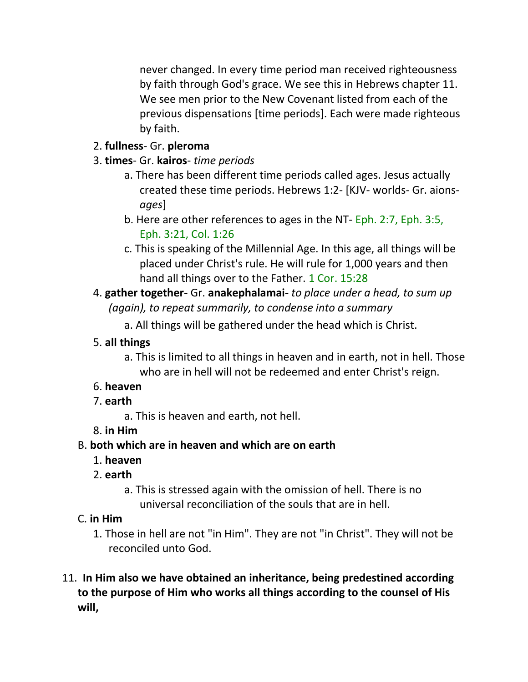never changed. In every time period man received righteousness by faith through God's grace. We see this in Hebrews chapter 11. We see men prior to the New Covenant listed from each of the previous dispensations [time periods]. Each were made righteous by faith.

### 2. **fullness**- Gr. **pleroma**

- 3. **times** Gr. **kairos** *time periods*
	- a. There has been different time periods called ages. Jesus actually created these time periods. Hebrews 1:2- [KJV- worlds- Gr. aions*ages*]
	- b. Here are other references to ages in the NT- Eph. 2:7, Eph. 3:5, Eph. 3:21, Col. 1:26
	- c. This is speaking of the Millennial Age. In this age, all things will be placed under Christ's rule. He will rule for 1,000 years and then hand all things over to the Father. 1 Cor. 15:28
- 4. **gather together-** Gr. **anakephalamai-** *to place under a head, to sum up (again), to repeat summarily, to condense into a summary*

a. All things will be gathered under the head which is Christ.

## 5. **all things**

a. This is limited to all things in heaven and in earth, not in hell. Those who are in hell will not be redeemed and enter Christ's reign.

# 6. **heaven**

- 7. **earth**
	- a. This is heaven and earth, not hell.
- 8. **in Him**

# B. **both which are in heaven and which are on earth**

- 1. **heaven**
- 2. **earth**
	- a. This is stressed again with the omission of hell. There is no universal reconciliation of the souls that are in hell.
- C. **in Him**
	- 1. Those in hell are not "in Him". They are not "in Christ". They will not be reconciled unto God.
- 11. **In Him also we have obtained an inheritance, being predestined according to the purpose of Him who works all things according to the counsel of His will,**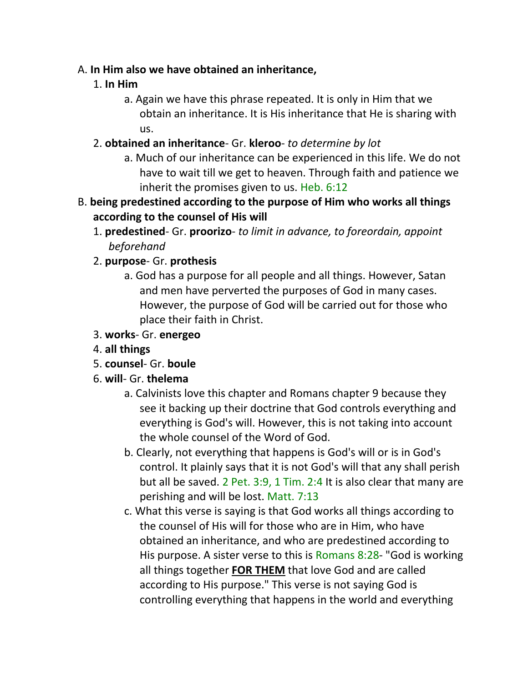#### A. **In Him also we have obtained an inheritance,**

### 1. **In Him**

- a. Again we have this phrase repeated. It is only in Him that we obtain an inheritance. It is His inheritance that He is sharing with us.
- 2. **obtained an inheritance** Gr. **kleroo** *to determine by lot*
	- a. Much of our inheritance can be experienced in this life. We do not have to wait till we get to heaven. Through faith and patience we inherit the promises given to us. Heb. 6:12
- B. **being predestined according to the purpose of Him who works all things according to the counsel of His will**
	- 1. **predestined** Gr. **proorizo** *to limit in advance, to foreordain, appoint beforehand*
	- 2. **purpose** Gr. **prothesis**
		- a. God has a purpose for all people and all things. However, Satan and men have perverted the purposes of God in many cases. However, the purpose of God will be carried out for those who place their faith in Christ.
	- 3. **works** Gr. **energeo**
	- 4. **all things**
	- 5. **counsel** Gr. **boule**
	- 6. **will** Gr. **thelema**
		- a. Calvinists love this chapter and Romans chapter 9 because they see it backing up their doctrine that God controls everything and everything is God's will. However, this is not taking into account the whole counsel of the Word of God.
		- b. Clearly, not everything that happens is God's will or is in God's control. It plainly says that it is not God's will that any shall perish but all be saved. 2 Pet. 3:9, 1 Tim. 2:4 It is also clear that many are perishing and will be lost. Matt. 7:13
		- c. What this verse is saying is that God works all things according to the counsel of His will for those who are in Him, who have obtained an inheritance, and who are predestined according to His purpose. A sister verse to this is Romans 8:28- "God is working all things together **FOR THEM** that love God and are called according to His purpose." This verse is not saying God is controlling everything that happens in the world and everything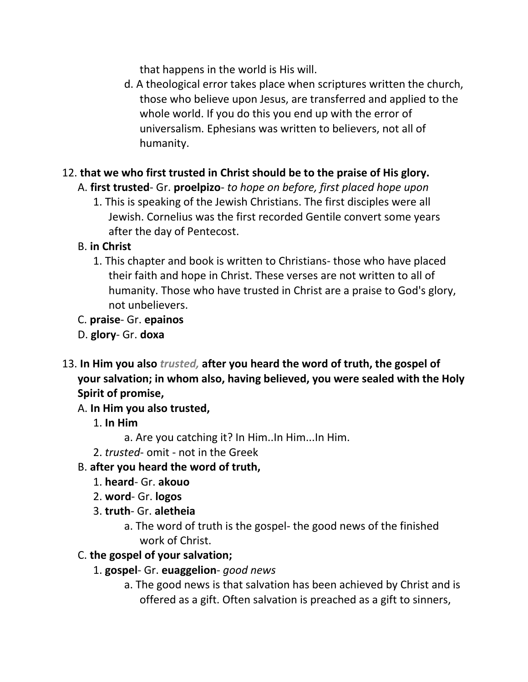that happens in the world is His will.

d. A theological error takes place when scriptures written the church, those who believe upon Jesus, are transferred and applied to the whole world. If you do this you end up with the error of universalism. Ephesians was written to believers, not all of humanity.

# 12. **that we who first trusted in Christ should be to the praise of His glory.**

### A. **first trusted**- Gr. **proelpizo**- *to hope on before, first placed hope upon*

1. This is speaking of the Jewish Christians. The first disciples were all Jewish. Cornelius was the first recorded Gentile convert some years after the day of Pentecost.

### B. **in Christ**

1. This chapter and book is written to Christians- those who have placed their faith and hope in Christ. These verses are not written to all of humanity. Those who have trusted in Christ are a praise to God's glory, not unbelievers.

### C. **praise**- Gr. **epainos**

- D. **glory** Gr. **doxa**
- 13. **In Him you also** *trusted,* **after you heard the word of truth, the gospel of your salvation; in whom also, having believed, you were sealed with the Holy Spirit of promise,**

### A. **In Him you also trusted,**

- 1. **In Him**
	- a. Are you catching it? In Him..In Him...In Him.
- 2. *trusted* omit not in the Greek

### B. **after you heard the word of truth,**

- 1. **heard** Gr. **akouo**
- 2. **word** Gr. **logos**
- 3. **truth** Gr. **aletheia**
	- a. The word of truth is the gospel- the good news of the finished work of Christ.

### C. **the gospel of your salvation;**

### 1. **gospel**- Gr. **euaggelion**- *good news*

a. The good news is that salvation has been achieved by Christ and is offered as a gift. Often salvation is preached as a gift to sinners,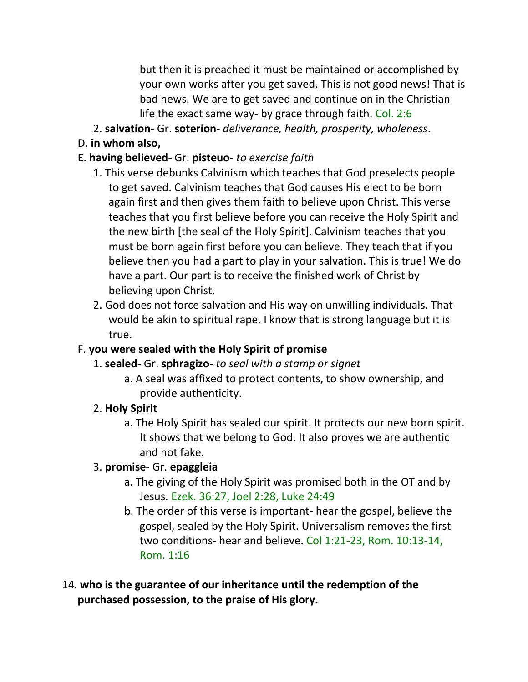but then it is preached it must be maintained or accomplished by your own works after you get saved. This is not good news! That is bad news. We are to get saved and continue on in the Christian life the exact same way- by grace through faith. Col. 2:6

- 2. **salvation-** Gr. **soterion** *deliverance, health, prosperity, wholeness*.
- D. **in whom also,**

### E. **having believed-** Gr. **pisteuo**- *to exercise faith*

- 1. This verse debunks Calvinism which teaches that God preselects people to get saved. Calvinism teaches that God causes His elect to be born again first and then gives them faith to believe upon Christ. This verse teaches that you first believe before you can receive the Holy Spirit and the new birth [the seal of the Holy Spirit]. Calvinism teaches that you must be born again first before you can believe. They teach that if you believe then you had a part to play in your salvation. This is true! We do have a part. Our part is to receive the finished work of Christ by believing upon Christ.
- 2. God does not force salvation and His way on unwilling individuals. That would be akin to spiritual rape. I know that is strong language but it is true.

### F. **you were sealed with the Holy Spirit of promise**

- 1. **sealed** Gr. **sphragizo** *to seal with a stamp or signet*
	- a. A seal was affixed to protect contents, to show ownership, and provide authenticity.

### 2. **Holy Spirit**

a. The Holy Spirit has sealed our spirit. It protects our new born spirit. It shows that we belong to God. It also proves we are authentic and not fake.

### 3. **promise-** Gr. **epaggleia**

- a. The giving of the Holy Spirit was promised both in the OT and by Jesus. Ezek. 36:27, Joel 2:28, Luke 24:49
- b. The order of this verse is important- hear the gospel, believe the gospel, sealed by the Holy Spirit. Universalism removes the first two conditions- hear and believe. Col 1:21-23, Rom. 10:13-14, Rom. 1:16
- 14. **who is the guarantee of our inheritance until the redemption of the purchased possession, to the praise of His glory.**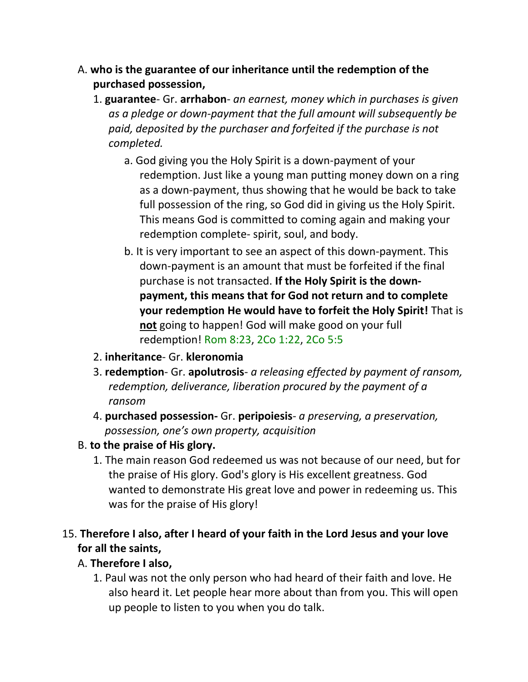- A. **who is the guarantee of our inheritance until the redemption of the purchased possession,**
	- 1. **guarantee** Gr. **arrhabon** *an earnest, money which in purchases is given as a pledge or down-payment that the full amount will subsequently be paid, deposited by the purchaser and forfeited if the purchase is not completed.*
		- a. God giving you the Holy Spirit is a down-payment of your redemption. Just like a young man putting money down on a ring as a down-payment, thus showing that he would be back to take full possession of the ring, so God did in giving us the Holy Spirit. This means God is committed to coming again and making your redemption complete- spirit, soul, and body.
		- b. It is very important to see an aspect of this down-payment. This down-payment is an amount that must be forfeited if the final purchase is not transacted. **If the Holy Spirit is the downpayment, this means that for God not return and to complete your redemption He would have to forfeit the Holy Spirit!** That is **not** going to happen! God will make good on your full redemption! Rom 8:23, 2Co 1:22, 2Co 5:5
	- 2. **inheritance** Gr. **kleronomia**
	- 3. **redemption** Gr. **apolutrosis** *a releasing effected by payment of ransom, redemption, deliverance, liberation procured by the payment of a ransom*
	- 4. **purchased possession-** Gr. **peripoiesis** *a preserving, a preservation, possession, one's own property, acquisition*
- B. **to the praise of His glory.**
	- 1. The main reason God redeemed us was not because of our need, but for the praise of His glory. God's glory is His excellent greatness. God wanted to demonstrate His great love and power in redeeming us. This was for the praise of His glory!

### 15. **Therefore I also, after I heard of your faith in the Lord Jesus and your love for all the saints,**

#### A. **Therefore I also,**

1. Paul was not the only person who had heard of their faith and love. He also heard it. Let people hear more about than from you. This will open up people to listen to you when you do talk.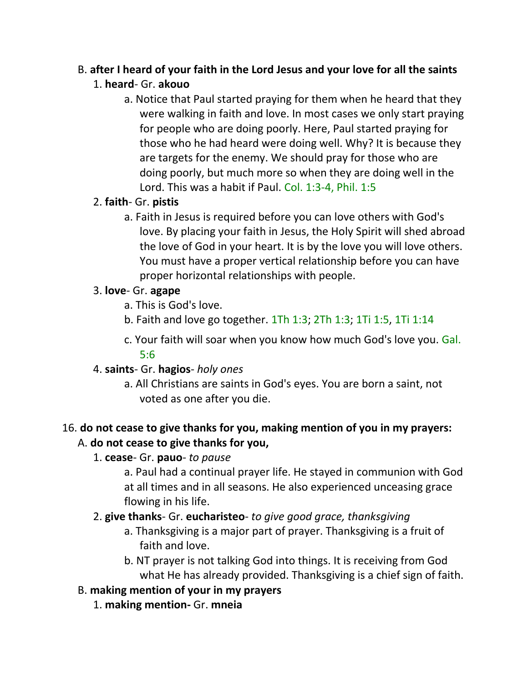# B. **after I heard of your faith in the Lord Jesus and your love for all the saints**

### 1. **heard**- Gr. **akouo**

a. Notice that Paul started praying for them when he heard that they were walking in faith and love. In most cases we only start praying for people who are doing poorly. Here, Paul started praying for those who he had heard were doing well. Why? It is because they are targets for the enemy. We should pray for those who are doing poorly, but much more so when they are doing well in the Lord. This was a habit if Paul. Col. 1:3-4, Phil. 1:5

### 2. **faith**- Gr. **pistis**

a. Faith in Jesus is required before you can love others with God's love. By placing your faith in Jesus, the Holy Spirit will shed abroad the love of God in your heart. It is by the love you will love others. You must have a proper vertical relationship before you can have proper horizontal relationships with people.

### 3. **love**- Gr. **agape**

- a. This is God's love.
- b. Faith and love go together. 1Th 1:3; 2Th 1:3; 1Ti 1:5, 1Ti 1:14
- c. Your faith will soar when you know how much God's love you. Gal. 5:6

### 4. **saints**- Gr. **hagios**- *holy ones*

a. All Christians are saints in God's eyes. You are born a saint, not voted as one after you die.

### 16. **do not cease to give thanks for you, making mention of you in my prayers:**  A. **do not cease to give thanks for you,**

### 1. **cease**- Gr. **pauo**- *to pause*

a. Paul had a continual prayer life. He stayed in communion with God at all times and in all seasons. He also experienced unceasing grace flowing in his life.

### 2. **give thanks**- Gr. **eucharisteo**- *to give good grace, thanksgiving*

- a. Thanksgiving is a major part of prayer. Thanksgiving is a fruit of faith and love.
- b. NT prayer is not talking God into things. It is receiving from God what He has already provided. Thanksgiving is a chief sign of faith.

### B. **making mention of your in my prayers**

1. **making mention-** Gr. **mneia**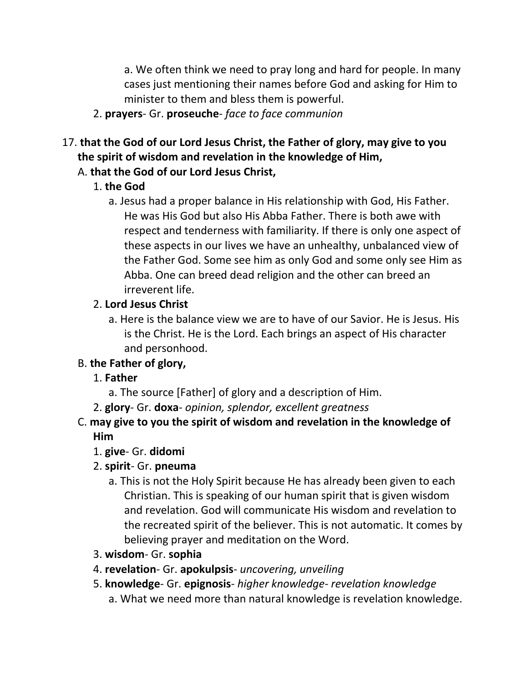a. We often think we need to pray long and hard for people. In many cases just mentioning their names before God and asking for Him to minister to them and bless them is powerful.

2. **prayers**- Gr. **proseuche**- *face to face communion*

# 17. **that the God of our Lord Jesus Christ, the Father of glory, may give to you the spirit of wisdom and revelation in the knowledge of Him,**

# A. **that the God of our Lord Jesus Christ,**

# 1. **the God**

a. Jesus had a proper balance in His relationship with God, His Father. He was His God but also His Abba Father. There is both awe with respect and tenderness with familiarity. If there is only one aspect of these aspects in our lives we have an unhealthy, unbalanced view of the Father God. Some see him as only God and some only see Him as Abba. One can breed dead religion and the other can breed an irreverent life.

# 2. **Lord Jesus Christ**

a. Here is the balance view we are to have of our Savior. He is Jesus. His is the Christ. He is the Lord. Each brings an aspect of His character and personhood.

# B. **the Father of glory,**

# 1. **Father**

- a. The source [Father] of glory and a description of Him.
- 2. **glory** Gr. **doxa** *opinion, splendor, excellent greatness*

# C. **may give to you the spirit of wisdom and revelation in the knowledge of Him**

1. **give**- Gr. **didomi**

# 2. **spirit**- Gr. **pneuma**

- a. This is not the Holy Spirit because He has already been given to each Christian. This is speaking of our human spirit that is given wisdom and revelation. God will communicate His wisdom and revelation to the recreated spirit of the believer. This is not automatic. It comes by believing prayer and meditation on the Word.
- 3. **wisdom** Gr. **sophia**
- 4. **revelation** Gr. **apokulpsis** *uncovering, unveiling*
- 5. **knowledge** Gr. **epignosis** *higher knowledge- revelation knowledge* a. What we need more than natural knowledge is revelation knowledge.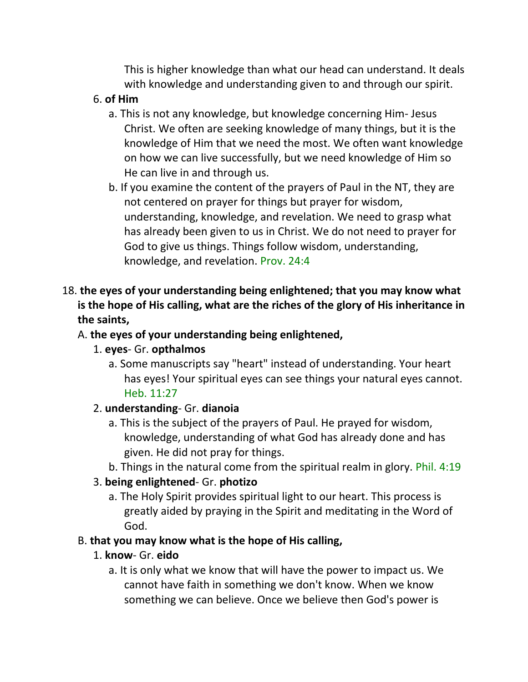This is higher knowledge than what our head can understand. It deals with knowledge and understanding given to and through our spirit.

#### 6. **of Him**

- a. This is not any knowledge, but knowledge concerning Him- Jesus Christ. We often are seeking knowledge of many things, but it is the knowledge of Him that we need the most. We often want knowledge on how we can live successfully, but we need knowledge of Him so He can live in and through us.
- b. If you examine the content of the prayers of Paul in the NT, they are not centered on prayer for things but prayer for wisdom, understanding, knowledge, and revelation. We need to grasp what has already been given to us in Christ. We do not need to prayer for God to give us things. Things follow wisdom, understanding, knowledge, and revelation. Prov. 24:4

### 18. **the eyes of your understanding being enlightened; that you may know what is the hope of His calling, what are the riches of the glory of His inheritance in the saints,**

### A. **the eyes of your understanding being enlightened,**

### 1. **eyes**- Gr. **opthalmos**

a. Some manuscripts say "heart" instead of understanding. Your heart has eyes! Your spiritual eyes can see things your natural eyes cannot. Heb. 11:27

### 2. **understanding**- Gr. **dianoia**

- a. This is the subject of the prayers of Paul. He prayed for wisdom, knowledge, understanding of what God has already done and has given. He did not pray for things.
- b. Things in the natural come from the spiritual realm in glory. Phil. 4:19

### 3. **being enlightened**- Gr. **photizo**

a. The Holy Spirit provides spiritual light to our heart. This process is greatly aided by praying in the Spirit and meditating in the Word of God.

### B. **that you may know what is the hope of His calling,**

### 1. **know**- Gr. **eido**

a. It is only what we know that will have the power to impact us. We cannot have faith in something we don't know. When we know something we can believe. Once we believe then God's power is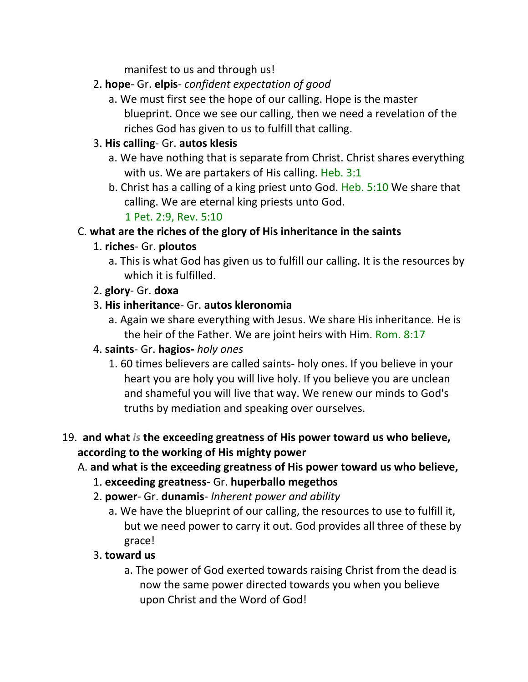manifest to us and through us!

- 2. **hope** Gr. **elpis** *confident expectation of good*
	- a. We must first see the hope of our calling. Hope is the master blueprint. Once we see our calling, then we need a revelation of the riches God has given to us to fulfill that calling.

### 3. **His calling**- Gr. **autos klesis**

- a. We have nothing that is separate from Christ. Christ shares everything with us. We are partakers of His calling. Heb. 3:1
- b. Christ has a calling of a king priest unto God. Heb. 5:10 We share that calling. We are eternal king priests unto God.

1 Pet. 2:9, Rev. 5:10

### C. **what are the riches of the glory of His inheritance in the saints**

### 1. **riches**- Gr. **ploutos**

- a. This is what God has given us to fulfill our calling. It is the resources by which it is fulfilled.
- 2. **glory** Gr. **doxa**
- 3. **His inheritance** Gr. **autos kleronomia**
	- a. Again we share everything with Jesus. We share His inheritance. He is the heir of the Father. We are joint heirs with Him. Rom. 8:17
- 4. **saints** Gr. **hagios-** *holy ones*
	- 1. 60 times believers are called saints- holy ones. If you believe in your heart you are holy you will live holy. If you believe you are unclean and shameful you will live that way. We renew our minds to God's truths by mediation and speaking over ourselves.

### 19. **and what** *is* **the exceeding greatness of His power toward us who believe, according to the working of His mighty power**

### A. **and what is the exceeding greatness of His power toward us who believe,**

- 1. **exceeding greatness** Gr. **huperballo megethos**
- 2. **power** Gr. **dunamis** *Inherent power and ability*
	- a. We have the blueprint of our calling, the resources to use to fulfill it, but we need power to carry it out. God provides all three of these by grace!

### 3. **toward us**

a. The power of God exerted towards raising Christ from the dead is now the same power directed towards you when you believe upon Christ and the Word of God!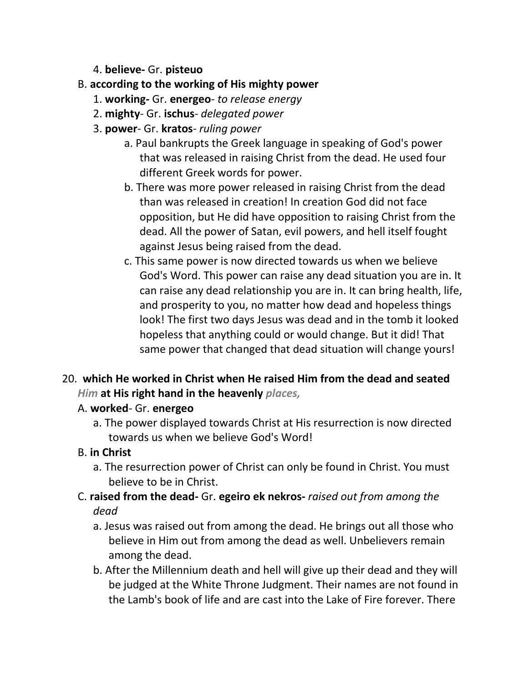4. **believe-** Gr. **pisteuo**

### B. **according to the working of His mighty power**

- 1. **working-** Gr. **energeo** *to release energy*
- 2. **mighty** Gr. **ischus** *delegated power*
- 3. **power** Gr. **kratos** *ruling power*
	- a. Paul bankrupts the Greek language in speaking of God's power that was released in raising Christ from the dead. He used four different Greek words for power.
	- b. There was more power released in raising Christ from the dead than was released in creation! In creation God did not face opposition, but He did have opposition to raising Christ from the dead. All the power of Satan, evil powers, and hell itself fought against Jesus being raised from the dead.
	- c. This same power is now directed towards us when we believe God's Word. This power can raise any dead situation you are in. It can raise any dead relationship you are in. It can bring health, life, and prosperity to you, no matter how dead and hopeless things look! The first two days Jesus was dead and in the tomb it looked hopeless that anything could or would change. But it did! That same power that changed that dead situation will change yours!

# 20. **which He worked in Christ when He raised Him from the dead and seated**  *Him* **at His right hand in the heavenly** *places,*

### A. **worked**- Gr. **energeo**

a. The power displayed towards Christ at His resurrection is now directed towards us when we believe God's Word!

### B. **in Christ**

- a. The resurrection power of Christ can only be found in Christ. You must believe to be in Christ.
- C. **raised from the dead-** Gr. **egeiro ek nekros-** *raised out from among the dead*
	- a. Jesus was raised out from among the dead. He brings out all those who believe in Him out from among the dead as well. Unbelievers remain among the dead.
	- b. After the Millennium death and hell will give up their dead and they will be judged at the White Throne Judgment. Their names are not found in the Lamb's book of life and are cast into the Lake of Fire forever. There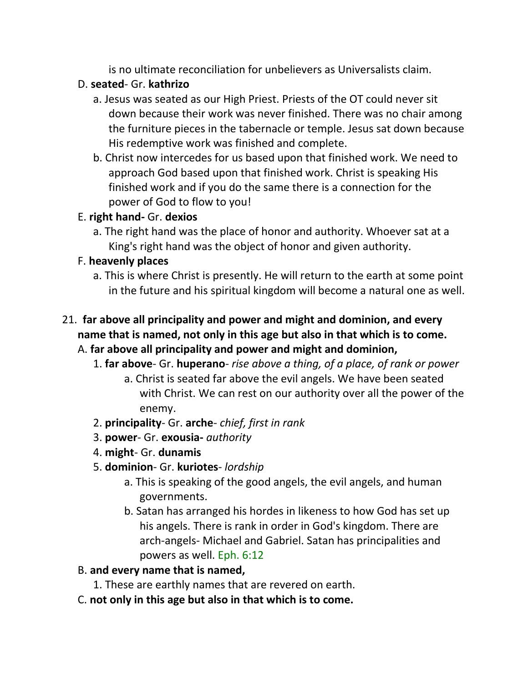is no ultimate reconciliation for unbelievers as Universalists claim.

## D. **seated**- Gr. **kathrizo**

- a. Jesus was seated as our High Priest. Priests of the OT could never sit down because their work was never finished. There was no chair among the furniture pieces in the tabernacle or temple. Jesus sat down because His redemptive work was finished and complete.
- b. Christ now intercedes for us based upon that finished work. We need to approach God based upon that finished work. Christ is speaking His finished work and if you do the same there is a connection for the power of God to flow to you!

# E. **right hand-** Gr. **dexios**

a. The right hand was the place of honor and authority. Whoever sat at a King's right hand was the object of honor and given authority.

# F. **heavenly places**

a. This is where Christ is presently. He will return to the earth at some point in the future and his spiritual kingdom will become a natural one as well.

# 21. **far above all principality and power and might and dominion, and every name that is named, not only in this age but also in that which is to come.**

### A. **far above all principality and power and might and dominion,**

- 1. **far above** Gr. **huperano** *rise above a thing, of a place, of rank or power* a. Christ is seated far above the evil angels. We have been seated with Christ. We can rest on our authority over all the power of the enemy.
- 2. **principality** Gr. **arche** *chief, first in rank*
- 3. **power** Gr. **exousia-** *authority*
- 4. **might** Gr. **dunamis**
- 5. **dominion** Gr. **kuriotes** *lordship*
	- a. This is speaking of the good angels, the evil angels, and human governments.
	- b. Satan has arranged his hordes in likeness to how God has set up his angels. There is rank in order in God's kingdom. There are arch-angels- Michael and Gabriel. Satan has principalities and powers as well. Eph. 6:12

# B. **and every name that is named,**

- 1. These are earthly names that are revered on earth.
- C. **not only in this age but also in that which is to come.**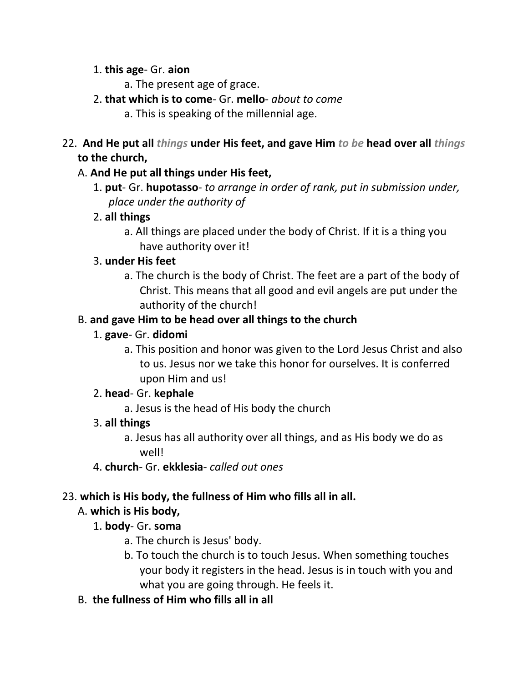#### 1. **this age**- Gr. **aion**

- a. The present age of grace.
- 2. **that which is to come** Gr. **mello** *about to come*
	- a. This is speaking of the millennial age.
- 22. **And He put all** *things* **under His feet, and gave Him** *to be* **head over all** *things* **to the church,**

### A. **And He put all things under His feet,**

1. **put**- Gr. **hupotasso**- *to arrange in order of rank, put in submission under, place under the authority of*

### 2. **all things**

a. All things are placed under the body of Christ. If it is a thing you have authority over it!

# 3. **under His feet**

a. The church is the body of Christ. The feet are a part of the body of Christ. This means that all good and evil angels are put under the authority of the church!

# B. **and gave Him to be head over all things to the church**

### 1. **gave**- Gr. **didomi**

a. This position and honor was given to the Lord Jesus Christ and also to us. Jesus nor we take this honor for ourselves. It is conferred upon Him and us!

### 2. **head**- Gr. **kephale**

a. Jesus is the head of His body the church

### 3. **all things**

- a. Jesus has all authority over all things, and as His body we do as well!
- 4. **church** Gr. **ekklesia** *called out ones*

### 23. **which is His body, the fullness of Him who fills all in all.**

# A. **which is His body,**

### 1. **body**- Gr. **soma**

- a. The church is Jesus' body.
- b. To touch the church is to touch Jesus. When something touches your body it registers in the head. Jesus is in touch with you and what you are going through. He feels it.
- B. **the fullness of Him who fills all in all**